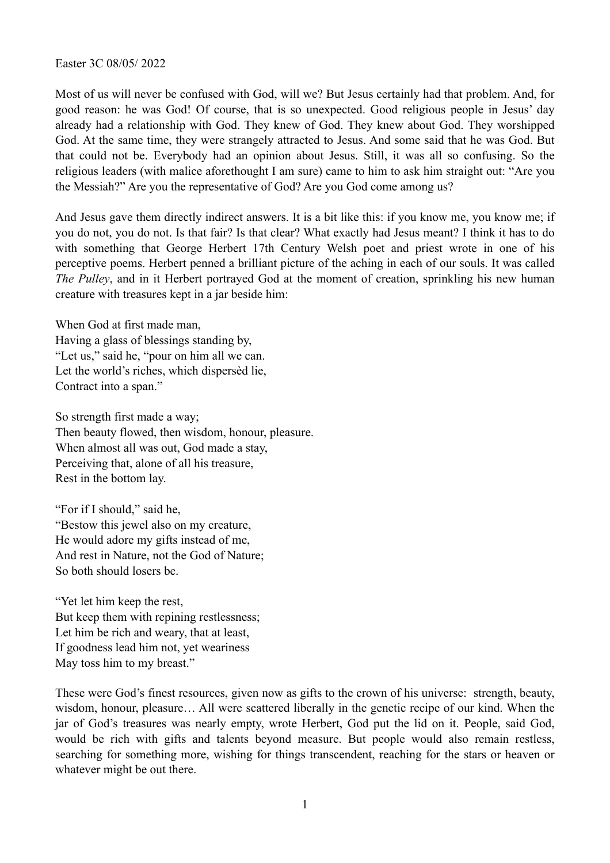Easter 3C 08/05/ 2022

Most of us will never be confused with God, will we? But Jesus certainly had that problem. And, for good reason: he was God! Of course, that is so unexpected. Good religious people in Jesus' day already had a relationship with God. They knew of God. They knew about God. They worshipped God. At the same time, they were strangely attracted to Jesus. And some said that he was God. But that could not be. Everybody had an opinion about Jesus. Still, it was all so confusing. So the religious leaders (with malice aforethought I am sure) came to him to ask him straight out: "Are you the Messiah?" Are you the representative of God? Are you God come among us?

And Jesus gave them directly indirect answers. It is a bit like this: if you know me, you know me; if you do not, you do not. Is that fair? Is that clear? What exactly had Jesus meant? I think it has to do with something that George Herbert 17th Century Welsh poet and priest wrote in one of his perceptive poems. Herbert penned a brilliant picture of the aching in each of our souls. It was called *The Pulley*, and in it Herbert portrayed God at the moment of creation, sprinkling his new human creature with treasures kept in a jar beside him:

When God at first made man, Having a glass of blessings standing by, "Let us," said he, "pour on him all we can. Let the world's riches, which dispersèd lie, Contract into a span."

So strength first made a way; Then beauty flowed, then wisdom, honour, pleasure. When almost all was out, God made a stay, Perceiving that, alone of all his treasure, Rest in the bottom lay.

"For if I should," said he, "Bestow this jewel also on my creature, He would adore my gifts instead of me, And rest in Nature, not the God of Nature; So both should losers be.

"Yet let him keep the rest, But keep them with repining restlessness; Let him be rich and weary, that at least, If goodness lead him not, yet weariness May toss him to my breast."

These were God's finest resources, given now as gifts to the crown of his universe: strength, beauty, wisdom, honour, pleasure… All were scattered liberally in the genetic recipe of our kind. When the jar of God's treasures was nearly empty, wrote Herbert, God put the lid on it. People, said God, would be rich with gifts and talents beyond measure. But people would also remain restless, searching for something more, wishing for things transcendent, reaching for the stars or heaven or whatever might be out there.